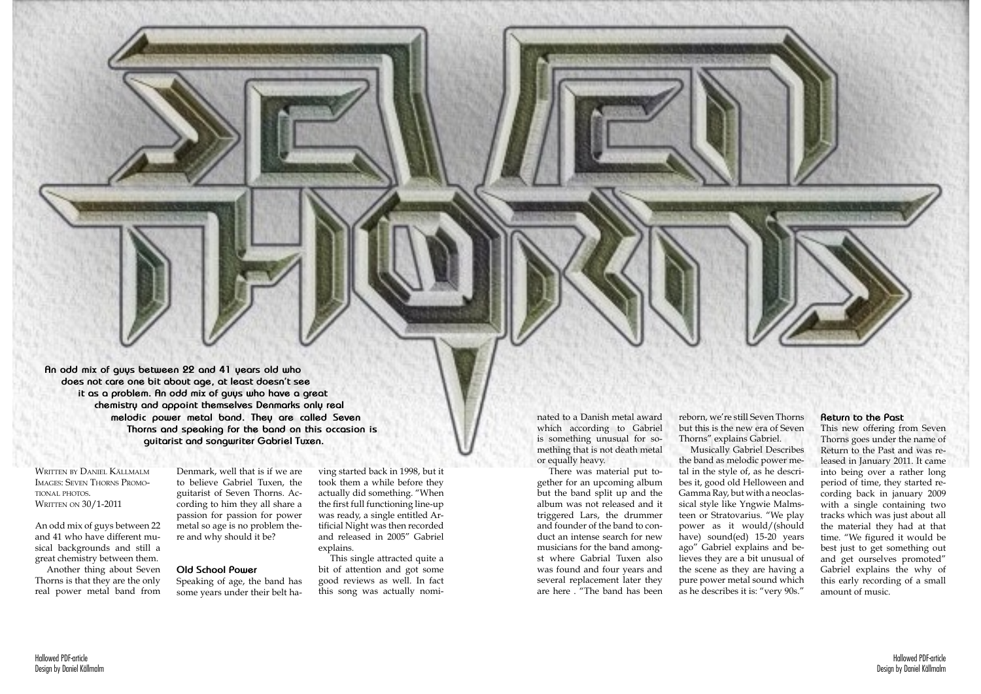

Written by Daniel Källmalm Images: Seven Thorns Promotional photos. WRITTEN ON 30/1-2011

**An odd mix of guys between 22 and 41 years old who does not care one bit about age, at least doesn't see it as a problem. An odd mix of guys who have a great chemistry and appoint themselves Denmarks only real melodic power metal band. They are called Seven Thorns and speaking for the band on this occasion is guitarist and songwriter Gabriel Tuxen.** 

An odd mix of guys between 22 and 41 who have different musical backgrounds and still a great chemistry between them.

Another thing about Seven Thorns is that they are the only real power metal band from

Denmark, well that is if we are to believe Gabriel Tuxen, the guitarist of Seven Thorns. According to him they all share a passion for passion for power metal so age is no problem there and why should it be?

## **Old School Power**

Speaking of age, the band has some years under their belt having started back in 1998, but it took them a while before they actually did something. "When the first full functioning line-up was ready, a single entitled Artificial Night was then recorded and released in 2005" Gabriel explains.

This single attracted quite a bit of attention and got some good reviews as well. In fact this song was actually nominated to a Danish metal award which according to Gabriel is something unusual for something that is not death metal or equally heavy.

There was material put together for an upcoming album but the band split up and the album was not released and it triggered Lars, the drummer and founder of the band to conduct an intense search for new musicians for the band amongst where Gabrial Tuxen also was found and four years and several replacement later they are here . "The band has been

reborn, we're still Seven Thorns but this is the new era of Seven Thorns" explains Gabriel. Musically Gabriel Describes

the band as melodic power metal in the style of, as he describes it, good old Helloween and Gamma Ray, but with a neoclassical style like Yngwie Malmsteen or Stratovarius. "We play power as it would/(should have) sound(ed) 15-20 years ago" Gabriel explains and believes they are a bit unusual of the scene as they are having a pure power metal sound which as he describes it is: "very 90s."

## **Return to the Past**

This new offering from Seven Thorns goes under the name of Return to the Past and was released in January 2011. It came into being over a rather long period of time, they started recording back in january 2009 with a single containing two tracks which was just about all the material they had at that time. "We figured it would be best just to get something out and get ourselves promoted" Gabriel explains the why of this early recording of a small amount of music.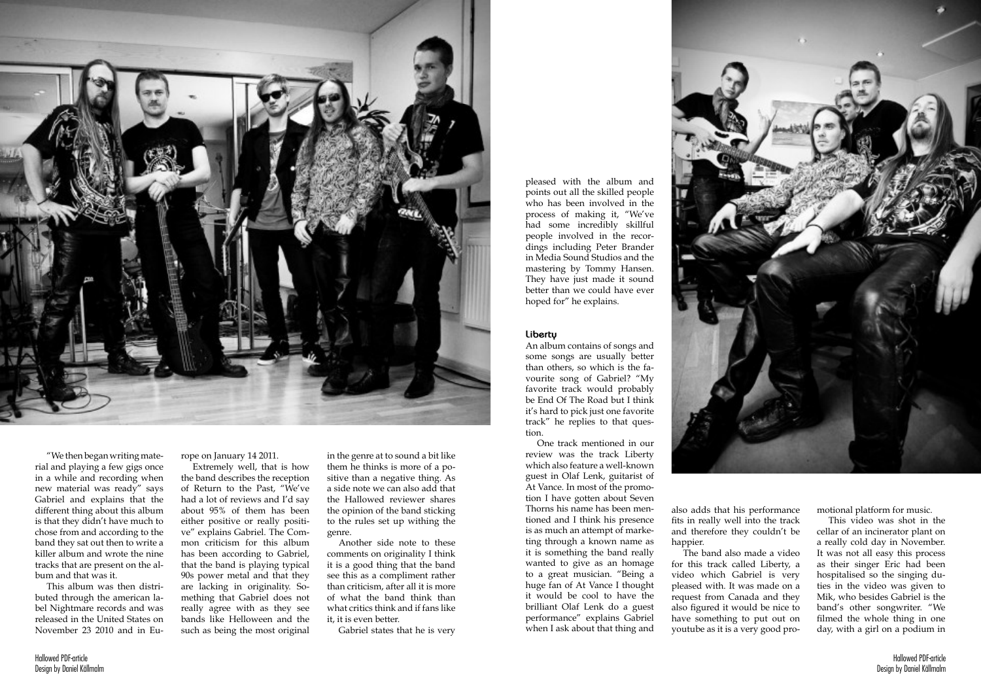



"We then began writing material and playing a few gigs once in a while and recording when new material was ready" says Gabriel and explains that the different thing about this album is that they didn't have much to chose from and according to the band they sat out then to write a killer album and wrote the nine tracks that are present on the album and that was it.

This album was then distributed through the american label Nightmare records and was released in the United States on November 23 2010 and in Eu-

rope on January 14 2011.

Extremely well, that is how the band describes the reception of Return to the Past, "We've had a lot of reviews and I'd say about 95% of them has been either positive or really positive" explains Gabriel. The Common criticism for this album has been according to Gabriel, that the band is playing typical 90s power metal and that they are lacking in originality. Something that Gabriel does not really agree with as they see bands like Helloween and the such as being the most original

in the genre at to sound a bit like them he thinks is more of a positive than a negative thing. As a side note we can also add that the Hallowed reviewer shares the opinion of the band sticking to the rules set up withing the genre.

Another side note to these comments on originality I think it is a good thing that the band see this as a compliment rather than criticism, after all it is more of what the band think than what critics think and if fans like it, it is even better.

Gabriel states that he is very

pleased with the album and points out all the skilled people who has been involved in the process of making it, "We've had some incredibly skillful people involved in the recordings including Peter Brander in Media Sound Studios and the mastering by Tommy Hansen. They have just made it sound better than we could have ever hoped for" he explains.

## **Liberty**

An album contains of songs and some songs are usually better than others, so which is the favourite song of Gabriel? "My favorite track would probably be End Of The Road but I think it's hard to pick just one favorite track" he replies to that question.

One track mentioned in our review was the track Liberty which also feature a well-known guest in Olaf Lenk, guitarist of At Vance. In most of the promotion I have gotten about Seven Thorns his name has been mentioned and I think his presence is as much an attempt of marketing through a known name as it is something the band really wanted to give as an homage to a great musician. "Being a huge fan of At Vance I thought it would be cool to have the brilliant Olaf Lenk do a guest performance" explains Gabriel when I ask about that thing and

also adds that his performance fits in really well into the track and therefore they couldn't be happier.

The band also made a video for this track called Liberty, a video which Gabriel is very pleased with. It was made on a request from Canada and they also figured it would be nice to have something to put out on youtube as it is a very good promotional platform for music.

This video was shot in the cellar of an incinerator plant on a really cold day in November. It was not all easy this process as their singer Eric had been hospitalised so the singing duties in the video was given to Mik, who besides Gabriel is the band's other songwriter. "We filmed the whole thing in one day, with a girl on a podium in